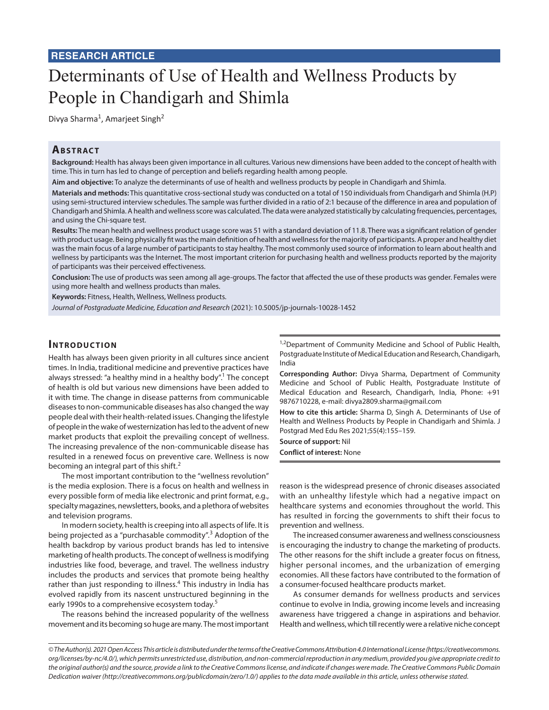# Determinants of Use of Health and Wellness Products by People in Chandigarh and Shimla

Divya Sharma<sup>1</sup>, Amarjeet Singh<sup>2</sup>

# **ABSTRACT**

**Background:** Health has always been given importance in all cultures. Various new dimensions have been added to the concept of health with time. This in turn has led to change of perception and beliefs regarding health among people.

**Aim and objective:** To analyze the determinants of use of health and wellness products by people in Chandigarh and Shimla.

**Materials and methods:** This quantitative cross-sectional study was conducted on a total of 150 individuals from Chandigarh and Shimla (H.P) using semi-structured interview schedules. The sample was further divided in a ratio of 2:1 because of the difference in area and population of Chandigarh and Shimla. A health and wellness score was calculated. The data were analyzed statistically by calculating frequencies, percentages, and using the Chi-square test.

**Results:** The mean health and wellness product usage score was 51 with a standard deviation of 11.8. There was a significant relation of gender with product usage. Being physically fit was the main definition of health and wellness for the majority of participants. A proper and healthy diet was the main focus of a large number of participants to stay healthy. The most commonly used source of information to learn about health and wellness by participants was the Internet. The most important criterion for purchasing health and wellness products reported by the majority of participants was their perceived effectiveness.

**Conclusion:** The use of products was seen among all age-groups. The factor that affected the use of these products was gender. Females were using more health and wellness products than males.

**Keywords:** Fitness, Health, Wellness, Wellness products.

*Journal of Postgraduate Medicine, Education and Research* (2021): 10.5005/jp-journals-10028-1452

#### **INTRODUCTION**

Health has always been given priority in all cultures since ancient times. In India, traditional medicine and preventive practices have always stressed: "a healthy mind in a healthy body".<sup>1</sup> The concept of health is old but various new dimensions have been added to it with time. The change in disease patterns from communicable diseases to non-communicable diseases has also changed the way people deal with their health-related issues. Changing the lifestyle of people in the wake of westernization has led to the advent of new market products that exploit the prevailing concept of wellness. The increasing prevalence of the non-communicable disease has resulted in a renewed focus on preventive care. Wellness is now becoming an integral part of this shift.<sup>2</sup>

The most important contribution to the "wellness revolution" is the media explosion. There is a focus on health and wellness in every possible form of media like electronic and print format, e.g., specialty magazines, newsletters, books, and a plethora of websites and television programs.

In modern society, health is creeping into all aspects of life. It is being projected as a "purchasable commodity".<sup>3</sup> Adoption of the health backdrop by various product brands has led to intensive marketing of health products. The concept of wellness is modifying industries like food, beverage, and travel. The wellness industry includes the products and services that promote being healthy rather than just responding to illness.<sup>4</sup> This industry in India has evolved rapidly from its nascent unstructured beginning in the early 1990s to a comprehensive ecosystem today.<sup>5</sup>

The reasons behind the increased popularity of the wellness movement and its becoming so huge are many. The most important

<sup>1,2</sup>Department of Community Medicine and School of Public Health, Postgraduate Institute of Medical Education and Research, Chandigarh, India

**Corresponding Author:** Divya Sharma, Department of Community Medicine and School of Public Health, Postgraduate Institute of Medical Education and Research, Chandigarh, India, Phone: +91 9876710228, e-mail: divya2809.sharma@gmail.com

**How to cite this article:** Sharma D, Singh A. Determinants of Use of Health and Wellness Products by People in Chandigarh and Shimla. J Postgrad Med Edu Res 2021;55(4):155–159.

**Source of support:** Nil

**Conflict of interest:** None

reason is the widespread presence of chronic diseases associated with an unhealthy lifestyle which had a negative impact on healthcare systems and economies throughout the world. This has resulted in forcing the governments to shift their focus to prevention and wellness.

The increased consumer awareness and wellness consciousness is encouraging the industry to change the marketing of products. The other reasons for the shift include a greater focus on fitness, higher personal incomes, and the urbanization of emerging economies. All these factors have contributed to the formation of a consumer-focused healthcare products market.

As consumer demands for wellness products and services continue to evolve in India, growing income levels and increasing awareness have triggered a change in aspirations and behavior. Health and wellness, which till recently were a relative niche concept

*<sup>©</sup> The Author(s). 2021 Open Access This article is distributed under the terms of the Creative Commons Attribution 4.0 International License (https://creativecommons. org/licenses/by-nc/4.0/), which permits unrestricted use, distribution, and non-commercial reproduction in any medium, provided you give appropriate credit to the original author(s) and the source, provide a link to the Creative Commons license, and indicate if changes were made. The Creative Commons Public Domain Dedication waiver (http://creativecommons.org/publicdomain/zero/1.0/) applies to the data made available in this article, unless otherwise stated.*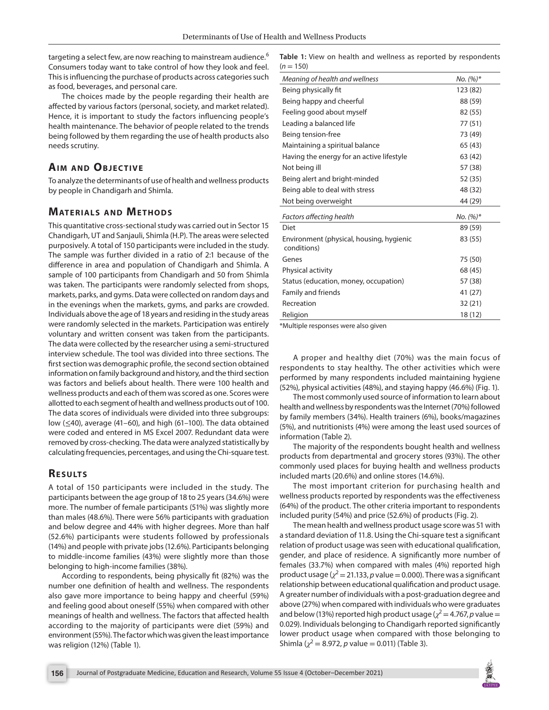targeting a select few, are now reaching to mainstream audience.<sup>6</sup> Consumers today want to take control of how they look and feel. This is influencing the purchase of products across categories such as food, beverages, and personal care.

The choices made by the people regarding their health are affected by various factors (personal, society, and market related). Hence, it is important to study the factors influencing people's health maintenance. The behavior of people related to the trends being followed by them regarding the use of health products also needs scrutiny.

## **AIM AND OBJECTIVE**

To analyze the determinants of use of health and wellness products by people in Chandigarh and Shimla.

#### **MATERIALS AND METHODS**

This quantitative cross-sectional study was carried out in Sector 15 Chandigarh, UT and Sanjauli, Shimla (H.P). The areas were selected purposively. A total of 150 participants were included in the study. The sample was further divided in a ratio of 2:1 because of the difference in area and population of Chandigarh and Shimla. A sample of 100 participants from Chandigarh and 50 from Shimla was taken. The participants were randomly selected from shops, markets, parks, and gyms. Data were collected on random days and in the evenings when the markets, gyms, and parks are crowded. Individuals above the age of 18 years and residing in the study areas were randomly selected in the markets. Participation was entirely voluntary and written consent was taken from the participants. The data were collected by the researcher using a semi-structured interview schedule. The tool was divided into three sections. The first section was demographic profile, the second section obtained information on family background and history, and the third section was factors and beliefs about health. There were 100 health and wellness products and each of them was scored as one. Scores were allotted to each segment of health and wellness products out of 100. The data scores of individuals were divided into three subgroups: low (≤40), average (41–60), and high (61–100). The data obtained were coded and entered in MS Excel 2007. Redundant data were removed by cross-checking. The data were analyzed statistically by calculating frequencies, percentages, and using the Chi-square test.

### **RESULTS**

A total of 150 participants were included in the study. The participants between the age group of 18 to 25 years (34.6%) were more. The number of female participants (51%) was slightly more than males (48.6%). There were 56% participants with graduation and below degree and 44% with higher degrees. More than half (52.6%) participants were students followed by professionals (14%) and people with private jobs (12.6%). Participants belonging to middle-income families (43%) were slightly more than those belonging to high-income families (38%).

According to respondents, being physically fit (82%) was the number one definition of health and wellness. The respondents also gave more importance to being happy and cheerful (59%) and feeling good about oneself (55%) when compared with other meanings of health and wellness. The factors that affected health according to the majority of participants were diet (59%) and environment (55%). The factor which was given the least importance was religion (12%) (Table 1).

**Table 1:** View on health and wellness as reported by respondents  $(n = 150)$ 

| Meaning of health and wellness                          | No. $(%)^*$ |
|---------------------------------------------------------|-------------|
| Being physically fit                                    | 123 (82)    |
| Being happy and cheerful                                | 88 (59)     |
| Feeling good about myself                               | 82 (55)     |
| Leading a balanced life                                 | 77 (51)     |
| Being tension-free                                      | 73 (49)     |
| Maintaining a spiritual balance                         | 65 (43)     |
| Having the energy for an active lifestyle               | 63 (42)     |
| Not being ill                                           | 57 (38)     |
| Being alert and bright-minded                           | 52 (35)     |
| Being able to deal with stress                          | 48 (32)     |
| Not being overweight                                    | 44 (29)     |
| <b>Factors affecting health</b>                         | No. $(%)^*$ |
| Diet                                                    | 89 (59)     |
| Environment (physical, housing, hygienic<br>conditions) | 83 (55)     |
| Genes                                                   | 75 (50)     |
| Physical activity                                       | 68 (45)     |
| Status (education, money, occupation)                   | 57 (38)     |
| Family and friends                                      | 41 (27)     |
| Recreation                                              | 32(21)      |
| Religion                                                | 18 (12)     |

\*Multiple responses were also given

A proper and healthy diet (70%) was the main focus of respondents to stay healthy. The other activities which were performed by many respondents included maintaining hygiene (52%), physical activities (48%), and staying happy (46.6%) (Fig. 1).

The most commonly used source of information to learn about health and wellness by respondents was the Internet (70%) followed by family members (34%). Health trainers (6%), books/magazines (5%), and nutritionists (4%) were among the least used sources of information (Table 2).

The majority of the respondents bought health and wellness products from departmental and grocery stores (93%). The other commonly used places for buying health and wellness products included marts (20.6%) and online stores (14.6%).

The most important criterion for purchasing health and wellness products reported by respondents was the effectiveness (64%) of the product. The other criteria important to respondents included purity (54%) and price (52.6%) of products (Fig. 2).

The mean health and wellness product usage score was 51 with a standard deviation of 11.8. Using the Chi-square test a significant relation of product usage was seen with educational qualification, gender, and place of residence. A significantly more number of females (33.7%) when compared with males (4%) reported high product usage ( $\chi^2$  = 21.133, *p* value = 0.000). There was a significant relationship between educational qualification and product usage. A greater number of individuals with a post-graduation degree and above (27%) when compared with individuals who were graduates and below (13%) reported high product usage ( $\chi^2$  = 4.767, *p* value = 0.029). Individuals belonging to Chandigarh reported significantly lower product usage when compared with those belonging to Shimla ( $\chi^2$  = 8.972, *p* value = 0.011) (Table 3).

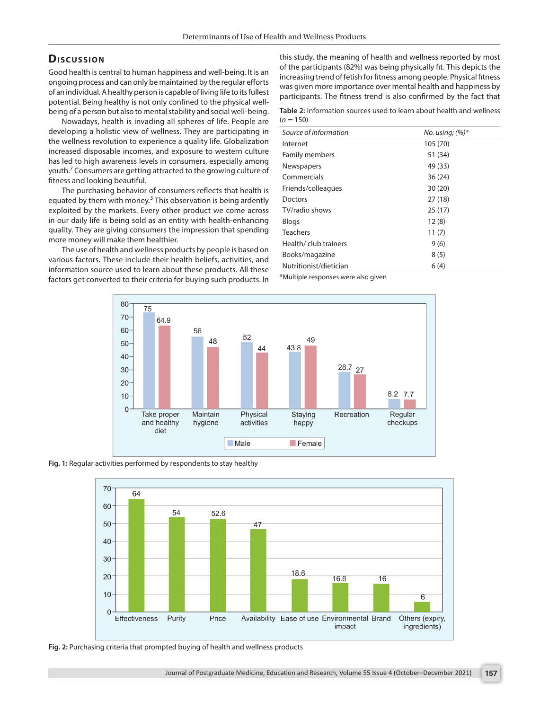### **Dis c u s sio n**

Good health is central to human happiness and well-being. It is an ongoing process and can only be maintained by the regular efforts of an individual. A healthy person is capable of living life to its fullest potential. Being healthy is not only confined to the physical wellbeing of a person but also to mental stability and social well-being.

Nowadays, health is invading all spheres of life. People are developing a holistic view of wellness. They are participating in the wellness revolution to experience a quality life. Globalization increased disposable incomes, and exposure to western culture has led to high awareness levels in consumers, especially among youth.<sup>7</sup> Consumers are getting attracted to the growing culture of fitness and looking beautiful.

The purchasing behavior of consumers reflects that health is equated by them with money.<sup>3</sup> This observation is being ardently exploited by the markets. Every other product we come across in our daily life is being sold as an entity with health-enhancing quality. They are giving consumers the impression that spending more money will make them healthier.

The use of health and wellness products by people is based on various factors. These include their health beliefs, activities, and information source used to learn about these products. All these factors get converted to their criteria for buying such products. In this study, the meaning of health and wellness reported by most of the participants (82%) was being physically fit. This depicts the increasing trend of fetish for fitness among people. Physical fitness was given more importance over mental health and happiness by participants. The fitness trend is also confirmed by the fact that

**Table 2:** Information sources used to learn about health and wellness  $(n = 150)$ 

| Source of information  | No. using; $(%)^*$ |
|------------------------|--------------------|
| Internet               | 105 (70)           |
| <b>Family members</b>  | 51 (34)            |
| Newspapers             | 49 (33)            |
| Commercials            | 36(24)             |
| Friends/colleagues     | 30(20)             |
| Doctors                | 27(18)             |
| TV/radio shows         | 25(17)             |
| <b>Blogs</b>           | 12(8)              |
| <b>Teachers</b>        | 11(7)              |
| Health/ club trainers  | 9(6)               |
| Books/magazine         | 8(5)               |
| Nutritionist/dietician | 6(4)               |

\*Multiple responses were also given



**Fig. 1:** Regular activities performed by respondents to stay healthy



**Fig. 2:** Purchasing criteria that prompted buying of health and wellness products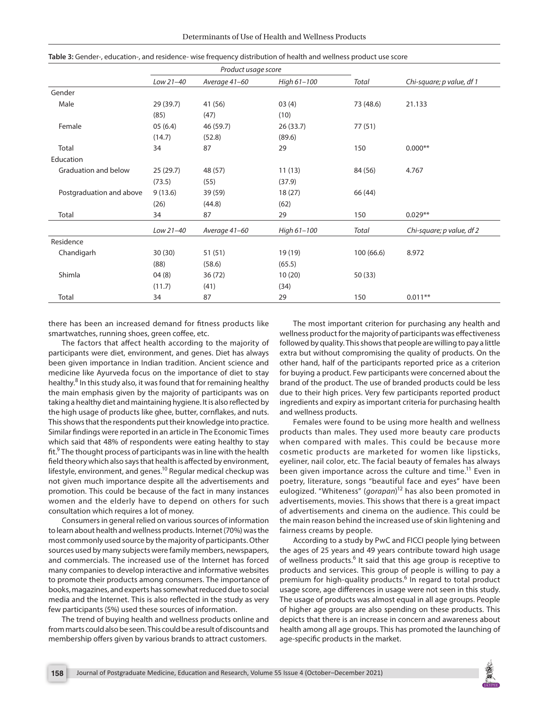|                          | Product usage score |               |             |           |                           |
|--------------------------|---------------------|---------------|-------------|-----------|---------------------------|
|                          | Low 21-40           | Average 41-60 | High 61-100 | Total     | Chi-square; p value, df 1 |
| Gender                   |                     |               |             |           |                           |
| Male                     | 29 (39.7)           | 41 (56)       | 03(4)       | 73 (48.6) | 21.133                    |
|                          | (85)                | (47)          | (10)        |           |                           |
| Female                   | 05(6.4)             | 46 (59.7)     | 26(33.7)    | 77(51)    |                           |
|                          | (14.7)              | (52.8)        | (89.6)      |           |                           |
| Total                    | 34                  | 87            | 29          | 150       | $0.000**$                 |
| Education                |                     |               |             |           |                           |
| Graduation and below     | 25(29.7)            | 48 (57)       | 11(13)      | 84 (56)   | 4.767                     |
|                          | (73.5)              | (55)          | (37.9)      |           |                           |
| Postgraduation and above | 9(13.6)             | 39 (59)       | 18(27)      | 66 (44)   |                           |
|                          | (26)                | (44.8)        | (62)        |           |                           |
| Total                    | 34                  | 87            | 29          | 150       | $0.029**$                 |
|                          | Low 21-40           | Average 41-60 | High 61-100 | Total     | Chi-square; p value, df 2 |
| Residence                |                     |               |             |           |                           |
| Chandigarh               | 30(30)              | 51(51)        | 19 (19)     | 100(66.6) | 8.972                     |
|                          | (88)                | (58.6)        | (65.5)      |           |                           |
| Shimla                   | 04(8)               | 36(72)        | 10(20)      | 50(33)    |                           |
|                          | (11.7)              | (41)          | (34)        |           |                           |
| Total                    | 34                  | 87            | 29          | 150       | $0.011**$                 |

| Table 3: Gender-, education-, and residence- wise frequency distribution of health and wellness product use score |  |  |  |  |  |  |
|-------------------------------------------------------------------------------------------------------------------|--|--|--|--|--|--|
|-------------------------------------------------------------------------------------------------------------------|--|--|--|--|--|--|

there has been an increased demand for fitness products like smartwatches, running shoes, green coffee, etc.

The factors that affect health according to the majority of participants were diet, environment, and genes. Diet has always been given importance in Indian tradition. Ancient science and medicine like Ayurveda focus on the importance of diet to stay healthy.<sup>8</sup> In this study also, it was found that for remaining healthy the main emphasis given by the majority of participants was on taking a healthy diet and maintaining hygiene. It is also reflected by the high usage of products like ghee, butter, cornflakes, and nuts. This shows that the respondents put their knowledge into practice. Similar findings were reported in an article in The Economic Times which said that 48% of respondents were eating healthy to stay fit.<sup>9</sup> The thought process of participants was in line with the health field theory which also says that health is affected by environment, lifestyle, environment, and genes.<sup>10</sup> Regular medical checkup was not given much importance despite all the advertisements and promotion. This could be because of the fact in many instances women and the elderly have to depend on others for such consultation which requires a lot of money.

Consumers in general relied on various sources of information to learn about health and wellness products. Internet (70%) was the most commonly used source by the majority of participants. Other sources used by many subjects were family members, newspapers, and commercials. The increased use of the Internet has forced many companies to develop interactive and informative websites to promote their products among consumers. The importance of books, magazines, and experts has somewhat reduced due to social media and the Internet. This is also reflected in the study as very few participants (5%) used these sources of information.

The trend of buying health and wellness products online and from marts could also be seen. This could be a result of discounts and membership offers given by various brands to attract customers.

The most important criterion for purchasing any health and wellness product for the majority of participants was effectiveness followed by quality. This shows that people are willing to pay a little extra but without compromising the quality of products. On the other hand, half of the participants reported price as a criterion for buying a product. Few participants were concerned about the brand of the product. The use of branded products could be less due to their high prices. Very few participants reported product ingredients and expiry as important criteria for purchasing health and wellness products.

Females were found to be using more health and wellness products than males. They used more beauty care products when compared with males. This could be because more cosmetic products are marketed for women like lipsticks, eyeliner, nail color, etc. The facial beauty of females has always been given importance across the culture and time.<sup>11</sup> Even in poetry, literature, songs "beautiful face and eyes" have been eulogized. "Whiteness" (*gorapan*) 12 has also been promoted in advertisements, movies. This shows that there is a great impact of advertisements and cinema on the audience. This could be the main reason behind the increased use of skin lightening and fairness creams by people.

According to a study by PwC and FICCI people lying between the ages of 25 years and 49 years contribute toward high usage of wellness products.<sup>6</sup> It said that this age group is receptive to products and services. This group of people is willing to pay a premium for high-quality products.<sup>6</sup> In regard to total product usage score, age differences in usage were not seen in this study. The usage of products was almost equal in all age groups. People of higher age groups are also spending on these products. This depicts that there is an increase in concern and awareness about health among all age groups. This has promoted the launching of age-specific products in the market.